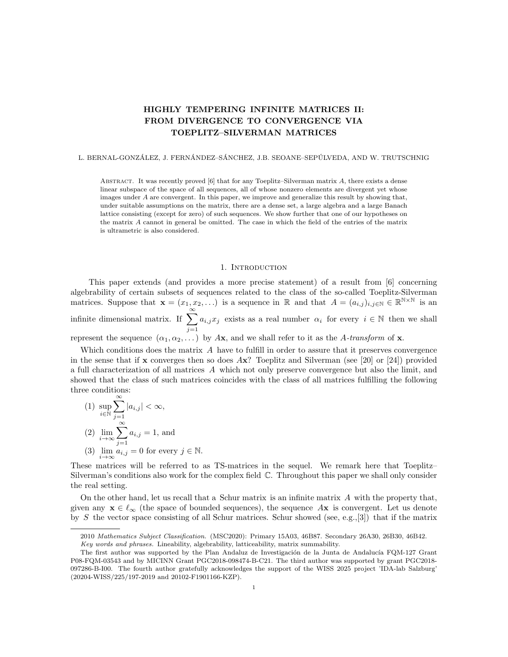# HIGHLY TEMPERING INFINITE MATRICES II: FROM DIVERGENCE TO CONVERGENCE VIA TOEPLITZ–SILVERMAN MATRICES

#### L. BERNAL-GONZÁLEZ, J. FERNÁNDEZ–SÁNCHEZ, J.B. SEOANE–SEPÚLVEDA, AND W. TRUTSCHNIG

ABSTRACT. It was recently proved  $[6]$  that for any Toeplitz–Silverman matrix A, there exists a dense linear subspace of the space of all sequences, all of whose nonzero elements are divergent yet whose images under A are convergent. In this paper, we improve and generalize this result by showing that, under suitable assumptions on the matrix, there are a dense set, a large algebra and a large Banach lattice consisting (except for zero) of such sequences. We show further that one of our hypotheses on the matrix A cannot in general be omitted. The case in which the field of the entries of the matrix is ultrametric is also considered.

#### 1. INTRODUCTION

This paper extends (and provides a more precise statement) of a result from [6] concerning algebrability of certain subsets of sequences related to the class of the so-called Toeplitz-Silverman matrices. Suppose that  $\mathbf{x} = (x_1, x_2, \ldots)$  is a sequence in R and that  $A = (a_{i,j})_{i,j \in \mathbb{N}} \in \mathbb{R}^{\mathbb{N} \times \mathbb{N}}$  is an infinite dimensional matrix. If  $\sum_{n=1}^{\infty}$  $j=1$  $a_{i,j}x_j$  exists as a real number  $\alpha_i$  for every  $i \in \mathbb{N}$  then we shall represent the sequence  $(\alpha_1, \alpha_2, \dots)$  by Ax, and we shall refer to it as the A-transform of x.

Which conditions does the matrix A have to fulfill in order to assure that it preserves convergence in the sense that if  $x$  converges then so does  $Ax$ ? Toeplitz and Silverman (see [20] or [24]) provided a full characterization of all matrices A which not only preserve convergence but also the limit, and showed that the class of such matrices coincides with the class of all matrices fulfilling the following three conditions:

(1) 
$$
\sup_{i \in \mathbb{N}} \sum_{j=1}^{\infty} |a_{i,j}| < \infty,
$$
  
\n(2) 
$$
\lim_{i \to \infty} \sum_{j=1}^{\infty} a_{i,j} = 1
$$
, and  
\n(3) 
$$
\lim_{i \to \infty} a_{i,j} = 0
$$
 for every  $j \in \mathbb{N}$ .

 $\infty$ 

These matrices will be referred to as TS-matrices in the sequel. We remark here that Toeplitz– Silverman's conditions also work for the complex field C. Throughout this paper we shall only consider the real setting.

On the other hand, let us recall that a Schur matrix is an infinite matrix  $A$  with the property that, given any  $\mathbf{x} \in \ell_{\infty}$  (the space of bounded sequences), the sequence Ax is convergent. Let us denote by S the vector space consisting of all Schur matrices. Schur showed (see, e.g., [3]) that if the matrix

<sup>2010</sup> Mathematics Subject Classification. (MSC2020): Primary 15A03, 46B87. Secondary 26A30, 26B30, 46B42. Key words and phrases. Lineability, algebrability, latticeability, matrix summability.

The first author was supported by the Plan Andaluz de Investigación de la Junta de Andalucía FQM-127 Grant P08-FQM-03543 and by MICINN Grant PGC2018-098474-B-C21. The third author was supported by grant PGC2018- 097286-B-I00. The fourth author gratefully acknowledges the support of the WISS 2025 project 'IDA-lab Salzburg' (20204-WISS/225/197-2019 and 20102-F1901166-KZP).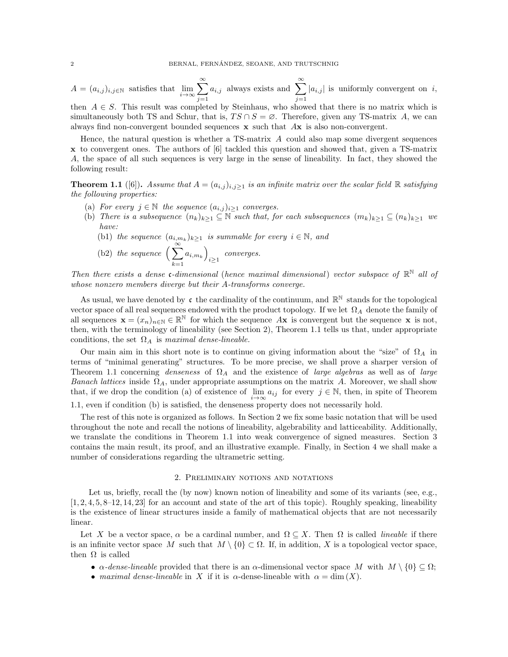$A = (a_{i,j})_{i,j \in \mathbb{N}}$  satisfies that  $\lim_{i \to \infty} \sum_{i=1}^{\infty}$  $j=1$  $a_{i,j}$  always exists and  $\sum_{i=1}^{\infty}$  $j=1$  $|a_{i,j}|$  is uniformly convergent on i, then  $A \in S$ . This result was completed by Steinhaus, who showed that there is no matrix which is simultaneously both TS and Schur, that is,  $TS \cap S = \emptyset$ . Therefore, given any TS-matrix A, we can always find non-convergent bounded sequences  $x$  such that  $Ax$  is also non-convergent.

Hence, the natural question is whether a  $TS$ -matrix  $\vec{A}$  could also map some divergent sequences x to convergent ones. The authors of [6] tackled this question and showed that, given a TS-matrix A, the space of all such sequences is very large in the sense of lineability. In fact, they showed the following result:

**Theorem 1.1** ([6]). Assume that  $A = (a_{i,j})_{i,j\geq 1}$  is an infinite matrix over the scalar field R satisfying the following properties:

- (a) For every  $j \in \mathbb{N}$  the sequence  $(a_{i,j})_{i \geq 1}$  converges.
- (b) There is a subsequence  $(n_k)_{k\geq 1} \subseteq \overline{\mathbb{N}}$  such that, for each subsequences  $(m_k)_{k\geq 1} \subseteq (n_k)_{k\geq 1}$  we have:
	- (b1) the sequence  $(a_{i,m_k})_{k\geq 1}$  is summable for every  $i \in \mathbb{N}$ , and

(b2) the sequence 
$$
\left(\sum_{k=1}^{\infty} a_{i,m_k}\right)_{i\geq 1}
$$
 converges.

Then there exists a dense c-dimensional (hence maximal dimensional) vector subspace of  $\mathbb{R}^{\mathbb{N}}$  all of whose nonzero members diverge but their A-transforms converge.

As usual, we have denoted by  $\mathfrak c$  the cardinality of the continuum, and  $\mathbb R^{\mathbb N}$  stands for the topological vector space of all real sequences endowed with the product topology. If we let  $\Omega_A$  denote the family of all sequences  $\mathbf{x} = (x_n)_{n \in \mathbb{N}} \in \mathbb{R}^{\mathbb{N}}$  for which the sequence Ax is convergent but the sequence  $\mathbf{x}$  is not, then, with the terminology of lineability (see Section 2), Theorem 1.1 tells us that, under appropriate conditions, the set  $\Omega_A$  is maximal dense-lineable.

Our main aim in this short note is to continue on giving information about the "size" of  $\Omega_A$  in terms of "minimal generating" structures. To be more precise, we shall prove a sharper version of Theorem 1.1 concerning denseness of  $\Omega_A$  and the existence of large algebras as well as of large Banach lattices inside  $\Omega_A$ , under appropriate assumptions on the matrix A. Moreover, we shall show that, if we drop the condition (a) of existence of  $\lim_{i\to\infty} a_{ij}$  for every  $j \in \mathbb{N}$ , then, in spite of Theorem

1.1, even if condition (b) is satisfied, the denseness property does not necessarily hold.

The rest of this note is organized as follows. In Section 2 we fix some basic notation that will be used throughout the note and recall the notions of lineability, algebrability and latticeability. Additionally, we translate the conditions in Theorem 1.1 into weak convergence of signed measures. Section 3 contains the main result, its proof, and an illustrative example. Finally, in Section 4 we shall make a number of considerations regarding the ultrametric setting.

#### 2. Preliminary notions and notations

Let us, briefly, recall the (by now) known notion of lineability and some of its variants (see, e.g.,  $[1, 2, 4, 5, 8-12, 14, 23]$  for an account and state of the art of this topic). Roughly speaking, lineability is the existence of linear structures inside a family of mathematical objects that are not necessarily linear.

Let X be a vector space,  $\alpha$  be a cardinal number, and  $\Omega \subseteq X$ . Then  $\Omega$  is called *lineable* if there is an infinite vector space M such that  $M \setminus \{0\} \subset \Omega$ . If, in addition, X is a topological vector space, then  $\Omega$  is called

- $\alpha$ -dense-lineable provided that there is an  $\alpha$ -dimensional vector space M with  $M \setminus \{0\} \subset \Omega$ ;
- maximal dense-lineable in X if it is  $\alpha$ -dense-lineable with  $\alpha = \dim(X)$ .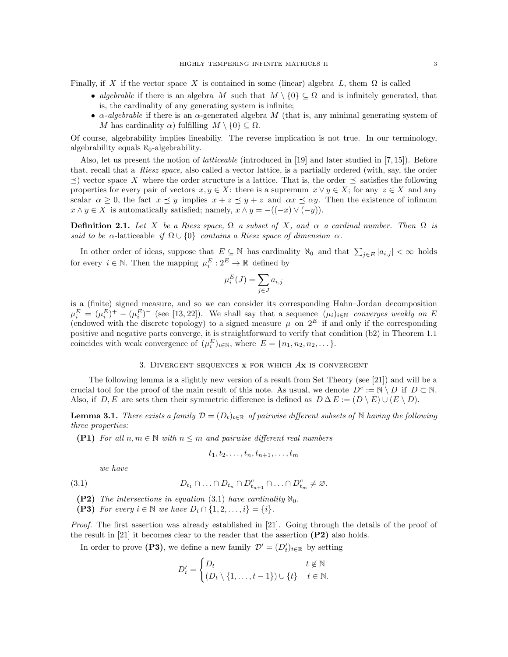Finally, if X if the vector space X is contained in some (linear) algebra L, them  $\Omega$  is called

- algebrable if there is an algebra M such that  $M \setminus \{0\} \subseteq \Omega$  and is infinitely generated, that is, the cardinality of any generating system is infinite;
- $\alpha$ -algebrable if there is an  $\alpha$ -generated algebra M (that is, any minimal generating system of M has cardinality  $\alpha$ ) fulfilling  $M \setminus \{0\} \subseteq \Omega$ .

Of course, algebrability implies lineabiliy. The reverse implication is not true. In our terminology, algebrability equals  $\aleph_0$ -algebrability.

Also, let us present the notion of latticeable (introduced in [19] and later studied in [7, 15]). Before that, recall that a Riesz space, also called a vector lattice, is a partially ordered (with, say, the order  $\preceq$ ) vector space X where the order structure is a lattice. That is, the order  $\preceq$  satisfies the following properties for every pair of vectors  $x, y \in X$ : there is a supremum  $x \vee y \in X$ ; for any  $z \in X$  and any scalar  $\alpha \geq 0$ , the fact  $x \preceq y$  implies  $x + z \preceq y + z$  and  $\alpha x \preceq \alpha y$ . Then the existence of infimum  $x \wedge y \in X$  is automatically satisfied; namely,  $x \wedge y = -((-x) \vee (-y))$ .

**Definition 2.1.** Let X be a Riesz space,  $\Omega$  a subset of X, and  $\alpha$  a cardinal number. Then  $\Omega$  is said to be  $\alpha$ -latticeable if  $\Omega \cup \{0\}$  contains a Riesz space of dimension  $\alpha$ .

In other order of ideas, suppose that  $E \subseteq \mathbb{N}$  has cardinality  $\aleph_0$  and that  $\sum_{j \in E} |a_{i,j}| < \infty$  holds for every  $i \in \mathbb{N}$ . Then the mapping  $\mu_i^E: 2^E \to \mathbb{R}$  defined by

$$
\mu_i^E(J) = \sum_{j \in J} a_{i,j}
$$

is a (finite) signed measure, and so we can consider its corresponding Hahn–Jordan decomposition  $\mu_i^E = (\mu_i^E)^+ - (\mu_i^E)^-$  (see [13, 22]). We shall say that a sequence  $(\mu_i)_{i \in \mathbb{N}}$  converges weakly on E (endowed with the discrete topology) to a signed measure  $\mu$  on  $2^E$  if and only if the corresponding positive and negative parts converge, it is straightforward to verify that condition (b2) in Theorem 1.1 coincides with weak convergence of  $(\mu_i^E)_{i \in \mathbb{N}}$ , where  $E = \{n_1, n_2, n_2, \dots\}$ .

## 3. DIVERGENT SEQUENCES  $x$  for which  $Ax$  is convergent

The following lemma is a slightly new version of a result from Set Theory (see [21]) and will be a crucial tool for the proof of the main result of this note. As usual, we denote  $D^c := \mathbb{N} \setminus D$  if  $D \subset \mathbb{N}$ . Also, if  $D, E$  are sets then their symmetric difference is defined as  $D \Delta E := (D \setminus E) \cup (E \setminus D)$ .

**Lemma 3.1.** There exists a family  $\mathcal{D} = (D_t)_{t \in \mathbb{R}}$  of pairwise different subsets of N having the following three properties:

(P1) For all  $n, m \in \mathbb{N}$  with  $n \leq m$  and pairwise different real numbers

$$
t_1, t_2, \ldots, t_n, t_{n+1}, \ldots, t_m
$$

we have

(3.1) 
$$
D_{t_1} \cap \ldots \cap D_{t_n} \cap D_{t_{n+1}}^c \cap \ldots \cap D_{t_m}^c \neq \varnothing.
$$

(P2) The intersections in equation (3.1) have cardinality  $\aleph_0$ .

(P3) For every  $i \in \mathbb{N}$  we have  $D_i \cap \{1, 2, ..., i\} = \{i\}.$ 

Proof. The first assertion was already established in [21]. Going through the details of the proof of the result in [21] it becomes clear to the reader that the assertion (P2) also holds.

In order to prove (P3), we define a new family  $\mathcal{D}' = (D'_t)_{t \in \mathbb{R}}$  by setting

$$
D'_{t} = \begin{cases} D_{t} & t \notin \mathbb{N} \\ (D_{t} \setminus \{1, \ldots, t-1\}) \cup \{t\} & t \in \mathbb{N}. \end{cases}
$$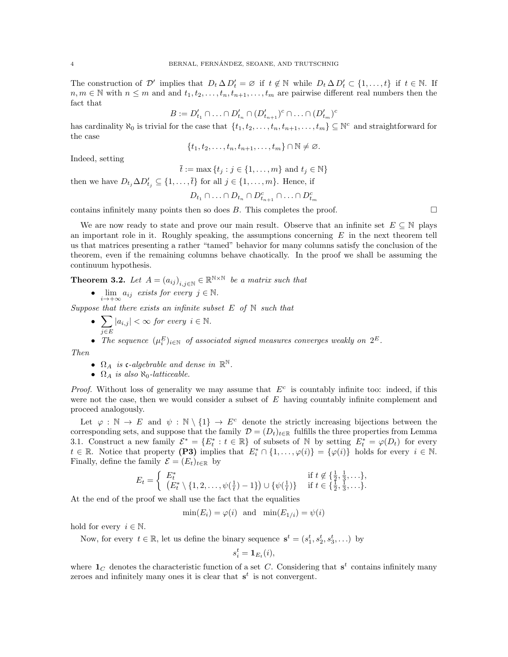The construction of  $\mathcal{D}'$  implies that  $D_t \Delta D'_t = \emptyset$  if  $t \notin \mathbb{N}$  while  $D_t \Delta D'_t \subset \{1, \ldots, t\}$  if  $t \in \mathbb{N}$ . If  $n, m \in \mathbb{N}$  with  $n \leq m$  and and  $t_1, t_2, \ldots, t_n, t_{n+1}, \ldots, t_m$  are pairwise different real numbers then the fact that

$$
B:=D_{t_1}'\cap\ldots\cap D_{t_n}'\cap (D_{t_{n+1}}')^c\cap\ldots\cap (D_{t_m}')^c
$$

has cardinality  $\aleph_0$  is trivial for the case that  $\{t_1, t_2, \ldots, t_n, t_{n+1}, \ldots, t_m\} \subseteq \mathbb{N}^c$  and straightforward for the case

 ${t_1, t_2, \ldots, t_n, t_{n+1}, \ldots, t_m} \cap \mathbb{N} \neq \emptyset.$ 

Indeed, setting

$$
\overline{t} := \max \left\{ t_j : j \in \{1, \dots, m\} \text{ and } t_j \in \mathbb{N} \right\}
$$

then we have  $D_{t_j} \Delta D'_{t_j} \subseteq \{1, \ldots, \overline{t}\}\$ for all  $j \in \{1, \ldots, m\}$ . Hence, if

$$
D_{t_1} \cap \ldots \cap D_{t_n} \cap D_{t_{n+1}}^c \cap \ldots \cap D_{t_m}^c
$$

contains infinitely many points then so does  $B$ . This completes the proof.

We are now ready to state and prove our main result. Observe that an infinite set  $E \subseteq \mathbb{N}$  plays an important role in it. Roughly speaking, the assumptions concerning  $E$  in the next theorem tell us that matrices presenting a rather "tamed" behavior for many columns satisfy the conclusion of the theorem, even if the remaining columns behave chaotically. In the proof we shall be assuming the continuum hypothesis.

**Theorem 3.2.** Let  $A = (a_{ij})_{i,j \in \mathbb{N}} \in \mathbb{R}^{\mathbb{N} \times \mathbb{N}}$  be a matrix such that

•  $\lim_{i \to +\infty} a_{ij}$  exists for every  $j \in \mathbb{N}$ .

Suppose that there exists an infinite subset  $E$  of  $N$  such that

 $\bullet$   $\sum$ j∈E  $|a_{i,j}| < \infty$  for every  $i \in \mathbb{N}$ .

• The sequence  $(\mu_i^E)_{i \in \mathbb{N}}$  of associated signed measures converges weakly on  $2^E$ .

Then

- $\Omega_A$  is c-algebrable and dense in  $\mathbb{R}^{\mathbb{N}}$ .
- $\Omega_A$  is also  $\aleph_0$ -latticeable.

*Proof.* Without loss of generality we may assume that  $E^c$  is countably infinite too: indeed, if this were not the case, then we would consider a subset of  $E$  having countably infinite complement and proceed analogously.

Let  $\varphi : \mathbb{N} \to E$  and  $\psi : \mathbb{N} \setminus \{1\} \to E^c$  denote the strictly increasing bijections between the corresponding sets, and suppose that the family  $\mathcal{D} = (D_t)_{t \in \mathbb{R}}$  fulfills the three properties from Lemma 3.1. Construct a new family  $\mathcal{E}^* = \{E_t^* : t \in \mathbb{R}\}\$  of subsets of N by setting  $E_t^* = \varphi(D_t)$  for every  $t \in \mathbb{R}$ . Notice that property (P3) implies that  $E_i^* \cap \{1, \ldots, \varphi(i)\} = \{\varphi(i)\}\$  holds for every  $i \in \mathbb{N}$ . Finally, define the family  $\mathcal{E} = (E_t)_{t \in \mathbb{R}}$  by

$$
E_t = \begin{cases} E_t^* & \text{if } t \notin \{\frac{1}{2}, \frac{1}{3}, \dots\}, \\ (E_t^* \setminus \{1, 2, \dots, \psi(\frac{1}{t}) - 1\}) \cup \{\psi(\frac{1}{t})\} & \text{if } t \in \{\frac{1}{2}, \frac{1}{3}, \dots\}. \end{cases}
$$

At the end of the proof we shall use the fact that the equalities

 $\min(E_i) = \varphi(i)$  and  $\min(E_{1/i}) = \psi(i)$ 

hold for every  $i \in \mathbb{N}$ .

Now, for every  $t \in \mathbb{R}$ , let us define the binary sequence  $\mathbf{s}^t = (s_1^t, s_2^t, s_3^t, \ldots)$  by

$$
s_i^t = \mathbf{1}_{E_t}(i),
$$

where  $\mathbf{1}_C$  denotes the characteristic function of a set C. Considering that  $s^t$  contains infinitely many zeroes and infinitely many ones it is clear that  $s^t$  is not convergent.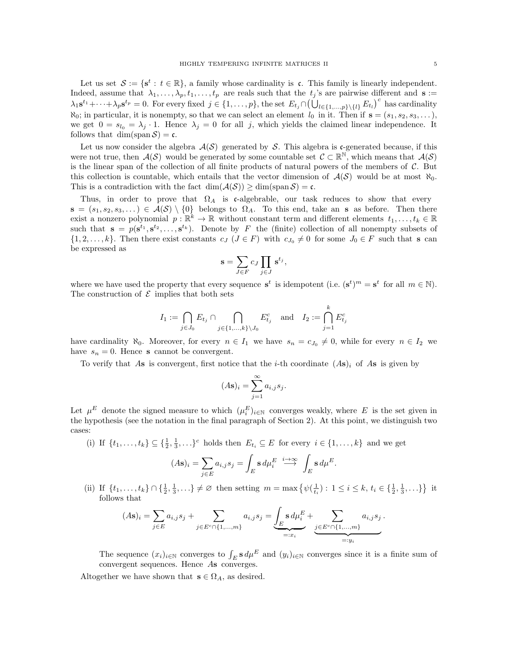Let us set  $\mathcal{S} := \{ s^t : t \in \mathbb{R} \}$ , a family whose cardinality is c. This family is linearly independent. Indeed, assume that  $\lambda_1, \ldots, \lambda_p, t_1, \ldots, t_p$  are reals such that the  $t_j$ 's are pairwise different and  $\mathbf{s} :=$  $\lambda_1 \mathbf{s}^{t_1} + \cdots + \lambda_p \mathbf{s}^{t_p} = 0$ . For every fixed  $j \in \{1, \ldots, p\}$ , the set  $E_{t_j} \cap (\bigcup_{l \in \{1, \ldots, p\} \setminus \{l\}} E_{t_l})^c$  has cardinality  $\aleph_0$ ; in particular, it is nonempty, so that we can select an element  $l_0$  in it. Then if  $\mathbf{s} = (s_1, s_2, s_3, \dots)$ , we get  $0 = s_{l_0} = \lambda_j \cdot 1$ . Hence  $\lambda_j = 0$  for all j, which yields the claimed linear independence. It follows that  $\dim(\text{span }\mathcal{S}) = \mathfrak{c}$ .

Let us now consider the algebra  $\mathcal{A}(\mathcal{S})$  generated by S. This algebra is c-generated because, if this were not true, then  $\mathcal{A}(\mathcal{S})$  would be generated by some countable set  $\mathcal{C} \subset \mathbb{R}^{\mathbb{N}}$ , which means that  $\mathcal{A}(\mathcal{S})$ is the linear span of the collection of all finite products of natural powers of the members of  $C$ . But this collection is countable, which entails that the vector dimension of  $\mathcal{A}(\mathcal{S})$  would be at most  $\aleph_0$ . This is a contradiction with the fact  $\dim(A(\mathcal{S})) \geq \dim(\text{span}\,\mathcal{S}) = \mathfrak{c}$ .

Thus, in order to prove that  $\Omega_A$  is c-algebrable, our task reduces to show that every  $\mathbf{s} = (s_1, s_2, s_3, \dots) \in \mathcal{A}(\mathcal{S}) \setminus \{0\}$  belongs to  $\Omega_A$ . To this end, take an s as before. Then there exist a nonzero polynomial  $p: \mathbb{R}^k \to \mathbb{R}$  without constant term and different elements  $t_1, \ldots, t_k \in \mathbb{R}$ such that  $\mathbf{s} = p(\mathbf{s}^{t_1}, \mathbf{s}^{t_2}, \dots, \mathbf{s}^{t_k})$ . Denote by F the (finite) collection of all nonempty subsets of  $\{1, 2, \ldots, k\}$ . Then there exist constants  $c_j$   $(J \in F)$  with  $c_{J_0} \neq 0$  for some  $J_0 \in F$  such that s can be expressed as

$$
\mathbf{s} = \sum_{J \in F} c_J \prod_{j \in J} \mathbf{s}^{t_j},
$$

where we have used the property that every sequence  $\mathbf{s}^t$  is idempotent (i.e.  $(\mathbf{s}^t)^m = \mathbf{s}^t$  for all  $m \in \mathbb{N}$ ). The construction of  $\mathcal E$  implies that both sets

$$
I_1 := \bigcap_{j \in J_0} E_{t_j} \cap \bigcap_{j \in \{1, \ldots, k\} \setminus J_0} E_{t_j}^c \quad \text{and} \quad I_2 := \bigcap_{j=1}^k E_{t_j}^c
$$

have cardinality  $\aleph_0$ . Moreover, for every  $n \in I_1$  we have  $s_n = c_{J_0} \neq 0$ , while for every  $n \in I_2$  we have  $s_n = 0$ . Hence **s** cannot be convergent.

To verify that As is convergent, first notice that the *i*-th coordinate  $(As)<sub>i</sub>$  of As is given by

$$
(A\mathbf{s})_i = \sum_{j=1}^{\infty} a_{i,j} s_j.
$$

Let  $\mu^E$  denote the signed measure to which  $(\mu_i^E)_{i\in\mathbb{N}}$  converges weakly, where E is the set given in the hypothesis (see the notation in the final paragraph of Section 2). At this point, we distinguish two cases:

(i) If  $\{t_1,\ldots,t_k\} \subseteq \{\frac{1}{2},\frac{1}{3},\ldots\}^c$  holds then  $E_{t_i} \subseteq E$  for every  $i \in \{1,\ldots,k\}$  and we get

$$
(A\mathbf{s})_i = \sum_{j \in E} a_{i,j} s_j = \int_E \mathbf{s} \, d\mu_i^E \stackrel{i \to \infty}{\longrightarrow} \int_E \mathbf{s} \, d\mu^E.
$$

(ii) If  $\{t_1, \ldots, t_k\} \cap \{\frac{1}{2}, \frac{1}{3}, \ldots\} \neq \emptyset$  then setting  $m = \max \{ \psi(\frac{1}{t_i}) : 1 \leq i \leq k, t_i \in \{\frac{1}{2}, \frac{1}{3}, \ldots\} \}$  it follows that

$$
(A\mathbf{s})_i = \sum_{j \in E} a_{i,j} s_j + \sum_{j \in E^c \cap \{1, ..., m\}} a_{i,j} s_j = \underbrace{\int_E \mathbf{s} \, d\mu_i^E}_{=:x_i} + \sum_{\substack{j \in E^c \cap \{1, ..., m\} \\ =: y_i}} a_{i,j} s_j.
$$

The sequence  $(x_i)_{i\in\mathbb{N}}$  converges to  $\int_E \mathbf{s} d\mu^E$  and  $(y_i)_{i\in\mathbb{N}}$  converges since it is a finite sum of convergent sequences. Hence As converges.

Altogether we have shown that  $s \in \Omega_A$ , as desired.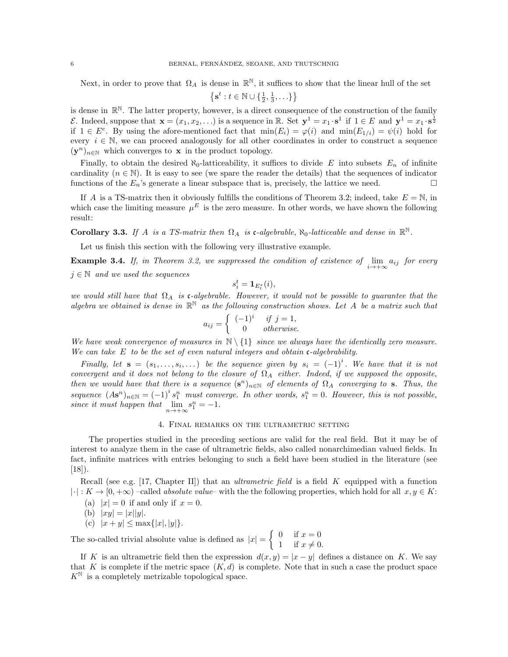Next, in order to prove that  $\Omega_A$  is dense in  $\mathbb{R}^{\mathbb{N}}$ , it suffices to show that the linear hull of the set

$$
\left\{\mathbf{s}^t : t \in \mathbb{N} \cup \{\tfrac{1}{2},\tfrac{1}{3},\ldots\}\right\}
$$

is dense in  $\mathbb{R}^N$ . The latter property, however, is a direct consequence of the construction of the family E. Indeed, suppose that  $\mathbf{x} = (x_1, x_2, \ldots)$  is a sequence in R. Set  $\mathbf{y}^1 = x_1 \cdot \mathbf{s}^1$  if  $1 \in E$  and  $\mathbf{y}^1 = x_1 \cdot \mathbf{s}^{\frac{1}{2}}$ if  $1 \in E^c$ . By using the afore-mentioned fact that  $min(E_i) = \varphi(i)$  and  $min(E_{1/i}) = \psi(i)$  hold for every  $i \in \mathbb{N}$ , we can proceed analogously for all other coordinates in order to construct a sequence  $(y^n)_{n\in\mathbb{N}}$  which converges to **x** in the product topology.

Finally, to obtain the desired  $\aleph_0$ -latticeability, it suffices to divide E into subsets  $E_n$  of infinite cardinality ( $n \in \mathbb{N}$ ). It is easy to see (we spare the reader the details) that the sequences of indicator functions of the  $E_n$ 's generate a linear subspace that is, precisely, the lattice we need.

If A is a TS-matrix then it obviously fulfills the conditions of Theorem 3.2; indeed, take  $E = N$ , in which case the limiting measure  $\mu^E$  is the zero measure. In other words, we have shown the following result:

Corollary 3.3. If A is a TS-matrix then  $\Omega_A$  is c-algebrable,  $\aleph_0$ -latticeable and dense in  $\mathbb{R}^N$ .

Let us finish this section with the following very illustrative example.

**Example 3.4.** If, in Theorem 3.2, we suppressed the condition of existence of  $\lim_{i \to +\infty} a_{ij}$  for every  $j \in \mathbb{N}$  and we used the sequences

$$
s_i^t = \mathbf{1}_{E_t^*}(i),
$$

we would still have that  $\Omega_A$  is c-algebrable. However, it would not be possible to guarantee that the algebra we obtained is dense in  $\mathbb{R}^{\mathbb{N}}$  as the following construction shows. Let A be a matrix such that

$$
a_{ij} = \begin{cases} (-1)^i & \text{if } j = 1, \\ 0 & \text{otherwise.} \end{cases}
$$

We have weak convergence of measures in  $\mathbb{N} \setminus \{1\}$  since we always have the identically zero measure. We can take  $E$  to be the set of even natural integers and obtain c-algebrability.

Finally, let  $\mathbf{s} = (s_1, \ldots, s_i, \ldots)$  be the sequence given by  $s_i = (-1)^i$ . We have that it is not convergent and it does not belong to the closure of  $\Omega_A$  either. Indeed, if we supposed the opposite, then we would have that there is a sequence  $(s^n)_{n\in\mathbb{N}}$  of elements of  $\Omega_A$  converging to s. Thus, the sequence  $(As^n)_{n\in\mathbb{N}}=(-1)^i s_1^n$  must converge. In other words,  $s_1^n=0$ . However, this is not possible, since it must happen that  $\lim_{n \to +\infty} s_1^n = -1$ .

### 4. Final remarks on the ultrametric setting

The properties studied in the preceding sections are valid for the real field. But it may be of interest to analyze them in the case of ultrametric fields, also called nonarchimedian valued fields. In fact, infinite matrices with entries belonging to such a field have been studied in the literature (see  $[18]$ .

Recall (see e.g. [17, Chapter II]) that an *ultrametric field* is a field K equipped with a function  $|\cdot|: K \to [0, +\infty)$  –called *absolute value*– with the the following properties, which hold for all  $x, y \in K$ :

- (a)  $|x| = 0$  if and only if  $x = 0$ .
- (b)  $|xy| = |x||y|$ .
- (c)  $|x + y| \le \max\{|x|, |y|\}.$

The so-called trivial absolute value is defined as  $|x| = \begin{cases} 0 & \text{if } x = 0 \\ 1 & \text{if } x \neq 0 \end{cases}$ 1 if  $x \neq 0$ .

If K is an ultrametric field then the expression  $d(x, y) = |x - y|$  defines a distance on K. We say that K is complete if the metric space  $(K, d)$  is complete. Note that in such a case the product space  $K^{\mathbb{N}}$  is a completely metrizable topological space.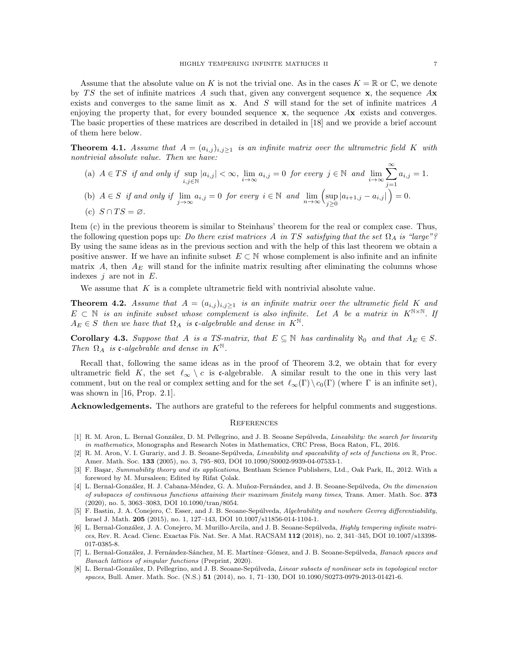Assume that the absolute value on K is not the trivial one. As in the cases  $K = \mathbb{R}$  or  $\mathbb{C}$ , we denote by TS the set of infinite matrices A such that, given any convergent sequence  $x$ , the sequence  $Ax$ exists and converges to the same limit as x. And S will stand for the set of infinite matrices A enjoying the property that, for every bounded sequence  $x$ , the sequence  $Ax$  exists and converges. The basic properties of these matrices are described in detailed in [18] and we provide a brief account of them here below.

**Theorem 4.1.** Assume that  $A = (a_{i,j})_{i,j \geq 1}$  is an infinite matrix over the ultrametric field K with nontrivial absolute value. Then we have:

(a) 
$$
A \in TS
$$
 if and only if  $\sup_{i,j \in \mathbb{N}} |a_{i,j}| < \infty$ ,  $\lim_{i \to \infty} a_{i,j} = 0$  for every  $j \in \mathbb{N}$  and  $\lim_{i \to \infty} \sum_{j=1}^{\infty} a_{i,j} = 1$ .  
\n(b)  $A \in S$  if and only if  $\lim_{j \to \infty} a_{i,j} = 0$  for every  $i \in \mathbb{N}$  and  $\lim_{n \to \infty} (\sup_{j \ge 0} |a_{i+1,j} - a_{i,j}|) = 0$ .

(c)  $S \cap TS = \varnothing$ .

Item (c) in the previous theorem is similar to Steinhaus' theorem for the real or complex case. Thus, the following question pops up: Do there exist matrices A in TS satisfying that the set  $\Omega_A$  is "large"? By using the same ideas as in the previous section and with the help of this last theorem we obtain a positive answer. If we have an infinite subset  $E \subset \mathbb{N}$  whose complement is also infinite and an infinite matrix A, then  $A_E$  will stand for the infinite matrix resulting after eliminating the columns whose indexes  $j$  are not in  $E$ .

We assume that  $K$  is a complete ultrametric field with nontrivial absolute value.

**Theorem 4.2.** Assume that  $A = (a_{i,j})_{i,j \geq 1}$  is an infinite matrix over the ultrametic field K and  $E \subset \mathbb{N}$  is an infinite subset whose complement is also infinite. Let A be a matrix in  $K^{\mathbb{N} \times \mathbb{N}}$ . If  $A_E \in S$  then we have that  $\Omega_A$  is c-algebrable and dense in  $K^{\mathbb{N}}$ .

Corollary 4.3. Suppose that A is a TS-matrix, that  $E \subseteq \mathbb{N}$  has cardinality  $\aleph_0$  and that  $A_E \in S$ . Then  $\Omega_A$  is c-algebrable and dense in  $K^{\mathbb{N}}$ .

Recall that, following the same ideas as in the proof of Theorem 3.2, we obtain that for every ultrametric field K, the set  $\ell_{\infty} \setminus c$  is c-algebrable. A similar result to the one in this very last comment, but on the real or complex setting and for the set  $\ell_{\infty}(\Gamma) \setminus c_0(\Gamma)$  (where  $\Gamma$  is an infinite set), was shown in [16, Prop. 2.1].

Acknowledgements. The authors are grateful to the referees for helpful comments and suggestions.

### **REFERENCES**

- [1] R. M. Aron, L. Bernal González, D. M. Pellegrino, and J. B. Seoane Sepúlveda, Lineability: the search for linearity in mathematics, Monographs and Research Notes in Mathematics, CRC Press, Boca Raton, FL, 2016.
- [2] R. M. Aron, V. I. Gurariy, and J. B. Seoane-Sepúlveda, *Lineability and spaceability of sets of functions on*  $\mathbb{R}$ , Proc. Amer. Math. Soc. 133 (2005), no. 3, 795–803, DOI 10.1090/S0002-9939-04-07533-1.
- [3] F. Başar, Summability theory and its applications, Bentham Science Publishers, Ltd., Oak Park, IL, 2012. With a foreword by M. Mursaleen; Edited by Rifat Colak.
- [4] L. Bernal-González, H. J. Cabana-Méndez, G. A. Muñoz-Fernández, and J. B. Seoane-Sepúlveda, On the dimension of subspaces of continuous functions attaining their maximum finitely many times, Trans. Amer. Math. Soc. 373 (2020), no. 5, 3063–3083, DOI 10.1090/tran/8054.
- [5] F. Bastin, J. A. Conejero, C. Esser, and J. B. Seoane-Sepúlveda, Algebrability and nowhere Gevrey differentiability, Israel J. Math. 205 (2015), no. 1, 127–143, DOI 10.1007/s11856-014-1104-1.
- [6] L. Bernal-González, J. A. Conejero, M. Murillo-Arcila, and J. B. Seoane-Sepúlveda, Highly tempering infinite matrices, Rev. R. Acad. Cienc. Exactas Fís. Nat. Ser. A Mat. RACSAM 112 (2018), no. 2, 341-345, DOI 10.1007/s13398-017-0385-8.
- [7] L. Bernal-González, J. Fernández-Sánchez, M. E. Martínez–Gómez, and J. B. Seoane-Sepúlveda, Banach spaces and Banach lattices of singular functions (Preprint, 2020).
- [8] L. Bernal-González, D. Pellegrino, and J. B. Seoane-Sepúlveda, Linear subsets of nonlinear sets in topological vector spaces, Bull. Amer. Math. Soc. (N.S.) 51 (2014), no. 1, 71–130, DOI 10.1090/S0273-0979-2013-01421-6.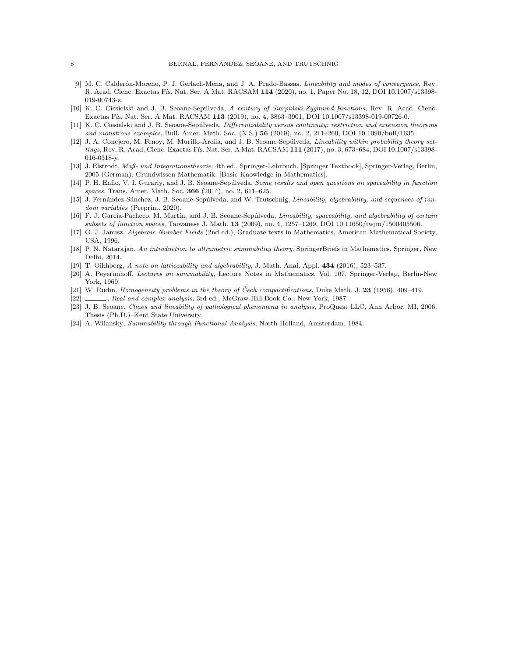- [9] M. C. Calderón-Moreno, P. J. Gerlach-Mena, and J. A. Prado-Bassas, *Lineability and modes of convergence*, Rev. R. Acad. Cienc. Exactas Fís. Nat. Ser. A Mat. RACSAM 114 (2020), no. 1, Paper No. 18, 12, DOI 10.1007/s13398-019-00743-z.
- [10] K. C. Ciesielski and J. B. Seoane-Sepúlveda, A century of Sierpiński-Zygmund functions, Rev. R. Acad. Cienc. Exactas Fís. Nat. Ser. A Mat. RACSAM 113 (2019), no. 4, 3863-3901, DOI 10.1007/s13398-019-00726-0.
- [11] K. C. Ciesielski and J. B. Seoane-Sepúlveda, *Differentiability versus continuity: restriction and extension theorems* and monstrous examples, Bull. Amer. Math. Soc. (N.S.) 56 (2019), no. 2, 211–260, DOI 10.1090/bull/1635.
- [12] J. A. Conejero, M. Fenoy, M. Murillo-Arcila, and J. B. Seoane-Sepúlveda, Lineability within probability theory settings, Rev. R. Acad. Cienc. Exactas Fís. Nat. Ser. A Mat. RACSAM 111 (2017), no. 3, 673-684, DOI 10.1007/s13398-016-0318-y.
- [13] J. Elstrodt, Maß- und Integrationstheorie, 4th ed., Springer-Lehrbuch. [Springer Textbook], Springer-Verlag, Berlin, 2005 (German). Grundwissen Mathematik. [Basic Knowledge in Mathematics].
- [14] P. H. Enflo, V. I. Gurariy, and J. B. Seoane-Sepúlveda, Some results and open questions on spaceability in function spaces, Trans. Amer. Math. Soc. 366 (2014), no. 2, 611–625.
- [15] J. Fernández-Sánchez, J. B. Seoane-Sepúlveda, and W. Trutschnig, *Lineability, algebrability, and sequences of ran*dom variables (Preprint, 2020).
- [16] F. J. García-Pacheco, M. Martín, and J. B. Seoane-Sepúlveda, Lineability, spaceability, and algebrability of certain subsets of function spaces, Taiwanese J. Math. 13 (2009), no. 4, 1257–1269, DOI 10.11650/twjm/1500405506.
- [17] G. J. Janusz, Algebraic Number Fields (2nd ed.), Graduate texts in Mathematics, American Mathematical Society, USA, 1996.
- [18] P. N. Natarajan, An introduction to ultrametric summability theory, SpringerBriefs in Mathematics, Springer, New Delhi, 2014.
- [19] T. Oikhberg, A note on latticeability and algebrability, J. Math. Anal. Appl. 434 (2016), 523–537.
- [20] A. Peyerimhoff, Lectures on summability, Lecture Notes in Mathematics, Vol. 107, Springer-Verlag, Berlin-New York, 1969.
- [21] W. Rudin, Homogeneity problems in the theory of Čech compactifications, Duke Math. J. 23 (1956), 409–419.
- [22]  $\_\_\_\_\$ , Real and complex analysis, 3rd ed., McGraw-Hill Book Co., New York, 1987.
- [23] J. B. Seoane, Chaos and lineability of pathological phenomena in analysis, ProQuest LLC, Ann Arbor, MI, 2006. Thesis (Ph.D.)–Kent State University.
- [24] A. Wilansky, Summability through Functional Analysis, North-Holland, Amsterdam, 1984.